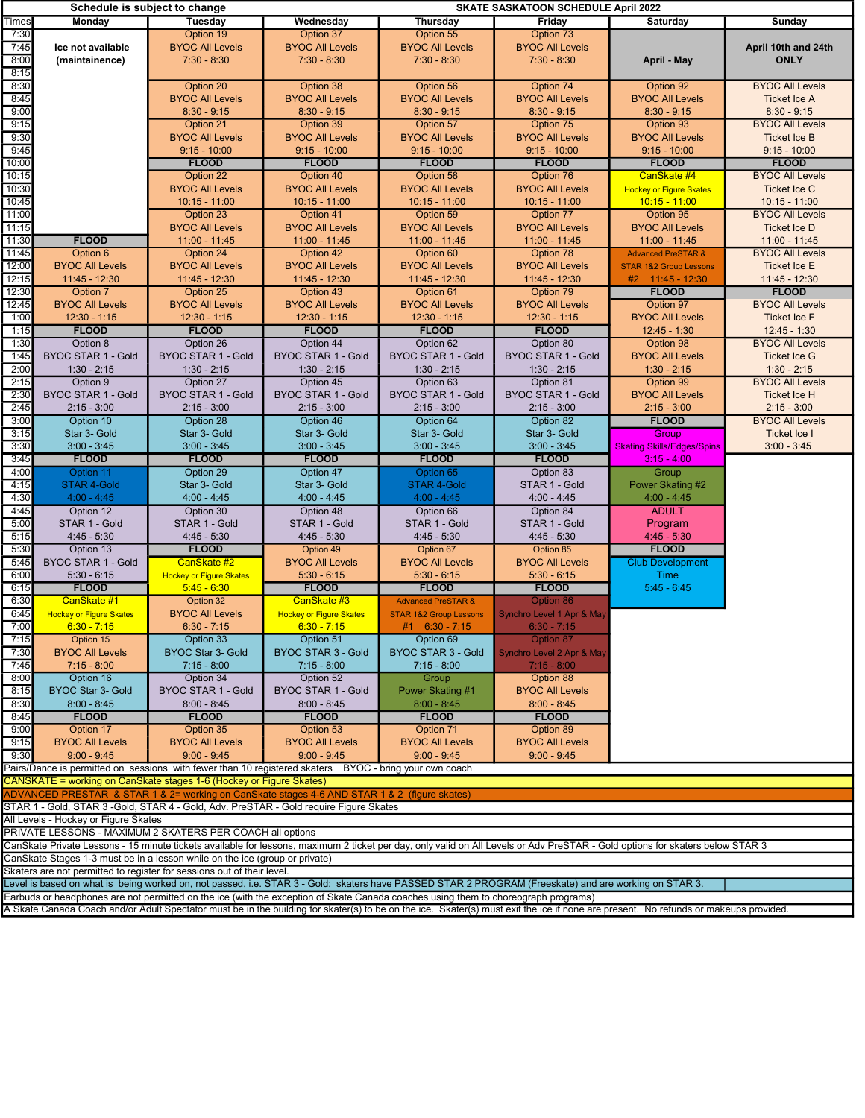|                |                                         | Schedule is subject to change                                                                                                                                                 |                                           |                                           | <b>SKATE SASKATOON SCHEDULE April 2022</b> |                                         |                               |
|----------------|-----------------------------------------|-------------------------------------------------------------------------------------------------------------------------------------------------------------------------------|-------------------------------------------|-------------------------------------------|--------------------------------------------|-----------------------------------------|-------------------------------|
| Times          | Monday                                  | <b>Tuesday</b>                                                                                                                                                                | Wednesday                                 | <b>Thursday</b>                           | Friday                                     | Saturday                                | Sunday                        |
| 7:30           |                                         | Option 19                                                                                                                                                                     | Option 37                                 | Option 55                                 | Option 73                                  |                                         |                               |
| 7:45           | Ice not available                       | <b>BYOC All Levels</b>                                                                                                                                                        | <b>BYOC All Levels</b>                    | <b>BYOC All Levels</b>                    | <b>BYOC All Levels</b>                     |                                         | April 10th and 24th           |
| 8:00           | (maintainence)                          | $7:30 - 8:30$                                                                                                                                                                 | $7:30 - 8:30$                             | $7:30 - 8:30$                             | $7:30 - 8:30$                              | April - May                             | <b>ONLY</b>                   |
| 8:15<br>8:30   |                                         |                                                                                                                                                                               |                                           | Option 56                                 |                                            | Option 92                               | <b>BYOC All Levels</b>        |
| 8:45           |                                         | Option 20<br><b>BYOC All Levels</b>                                                                                                                                           | Option 38<br><b>BYOC All Levels</b>       | <b>BYOC All Levels</b>                    | Option 74<br><b>BYOC All Levels</b>        | <b>BYOC All Levels</b>                  | <b>Ticket Ice A</b>           |
| 9:00           |                                         | $8:30 - 9:15$                                                                                                                                                                 | $8:30 - 9:15$                             | $8:30 - 9:15$                             | $8:30 - 9:15$                              | $8:30 - 9:15$                           | $8:30 - 9:15$                 |
| 9:15           |                                         | Option 21                                                                                                                                                                     | Option 39                                 | Option 57                                 | Option 75                                  | Option 93                               | <b>BYOC All Levels</b>        |
| 9:30           |                                         | <b>BYOC All Levels</b>                                                                                                                                                        | <b>BYOC All Levels</b>                    | <b>BYOC All Levels</b>                    | <b>BYOC All Levels</b>                     | <b>BYOC All Levels</b>                  | <b>Ticket Ice B</b>           |
| 9:45           |                                         | $9:15 - 10:00$                                                                                                                                                                | $9:15 - 10:00$                            | $9:15 - 10:00$                            | $9:15 - 10:00$                             | $9:15 - 10:00$                          | $9:15 - 10:00$                |
| 10:00          |                                         | <b>FLOOD</b>                                                                                                                                                                  | <b>FLOOD</b>                              | <b>FLOOD</b>                              | <b>FLOOD</b>                               | <b>FLOOD</b>                            | <b>FLOOD</b>                  |
| 10:15          |                                         | Option 22                                                                                                                                                                     | Option 40                                 | Option 58                                 | Option 76                                  | CanSkate #4                             | <b>BYOC All Levels</b>        |
| 10:30          |                                         | <b>BYOC All Levels</b>                                                                                                                                                        | <b>BYOC All Levels</b>                    | <b>BYOC All Levels</b>                    | <b>BYOC All Levels</b>                     | <b>Hockey or Figure Skates</b>          | Ticket Ice C                  |
| 10:45          |                                         | $10:15 - 11:00$                                                                                                                                                               | $10:15 - 11:00$                           | $10:15 - 11:00$                           | $10:15 - 11:00$                            | $10:15 - 11:00$                         | 10:15 - 11:00                 |
| 11:00          |                                         | Option 23                                                                                                                                                                     | Option 41                                 | Option 59                                 | Option 77                                  | Option 95                               | <b>BYOC All Levels</b>        |
| 11:15<br>11:30 | <b>FLOOD</b>                            | <b>BYOC All Levels</b><br>$11:00 - 11:45$                                                                                                                                     | <b>BYOC All Levels</b><br>$11:00 - 11:45$ | <b>BYOC All Levels</b><br>$11:00 - 11:45$ | <b>BYOC All Levels</b><br>11:00 - 11:45    | <b>BYOC All Levels</b><br>11:00 - 11:45 | Ticket Ice D<br>11:00 - 11:45 |
| 11:45          | Option 6                                | Option 24                                                                                                                                                                     | Option 42                                 | Option 60                                 | Option 78                                  | <b>Advanced PreSTAR &amp;</b>           | <b>BYOC All Levels</b>        |
| 12:00          | <b>BYOC All Levels</b>                  | <b>BYOC All Levels</b>                                                                                                                                                        | <b>BYOC All Levels</b>                    | <b>BYOC All Levels</b>                    | <b>BYOC All Levels</b>                     | <b>STAR 1&amp;2 Group Lessons</b>       | <b>Ticket Ice E</b>           |
| 12:15          | 11:45 - 12:30                           | $11:45 - 12:30$                                                                                                                                                               | $11:45 - 12:30$                           | $11:45 - 12:30$                           | $11:45 - 12:30$                            | $#2$ 11:45 - 12:30                      | 11:45 - 12:30                 |
| 12:30          | Option 7                                | Option 25                                                                                                                                                                     | Option 43                                 | Option 61                                 | Option 79                                  | <b>FLOOD</b>                            | <b>FLOOD</b>                  |
| 12:45          | <b>BYOC All Levels</b>                  | <b>BYOC All Levels</b>                                                                                                                                                        | <b>BYOC All Levels</b>                    | <b>BYOC All Levels</b>                    | <b>BYOC All Levels</b>                     | Option 97                               | <b>BYOC All Levels</b>        |
| 1:00           | $12:30 - 1:15$                          | $12:30 - 1:15$                                                                                                                                                                | $12:30 - 1:15$                            | $12:30 - 1:15$                            | $12:30 - 1:15$                             | <b>BYOC All Levels</b>                  | <b>Ticket Ice F</b>           |
| 1:15           | <b>FLOOD</b>                            | <b>FLOOD</b>                                                                                                                                                                  | <b>FLOOD</b>                              | <b>FLOOD</b>                              | <b>FLOOD</b>                               | 12:45 - 1:30                            | $12:45 - 1:30$                |
| 1:30           | Option 8                                | Option 26                                                                                                                                                                     | Option 44                                 | Option 62                                 | Option 80                                  | Option 98                               | <b>BYOC All Levels</b>        |
| 1:45           | <b>BYOC STAR 1 - Gold</b>               | BYOC STAR 1 - Gold                                                                                                                                                            | <b>BYOC STAR 1 - Gold</b>                 | <b>BYOC STAR 1 - Gold</b>                 | <b>BYOC STAR 1 - Gold</b>                  | <b>BYOC All Levels</b>                  | <b>Ticket Ice G</b>           |
| 2:00           | $1:30 - 2:15$                           | $1:30 - 2:15$                                                                                                                                                                 | $1:30 - 2:15$                             | $1:30 - 2:15$                             | $1:30 - 2:15$                              | $1:30 - 2:15$                           | $1:30 - 2:15$                 |
| 2:15           | Option 9                                | Option 27                                                                                                                                                                     | Option 45                                 | Option 63                                 | Option 81                                  | Option 99                               | <b>BYOC All Levels</b>        |
| 2:30           | <b>BYOC STAR 1 - Gold</b>               | <b>BYOC STAR 1 - Gold</b>                                                                                                                                                     | <b>BYOC STAR 1 - Gold</b>                 | <b>BYOC STAR 1 - Gold</b>                 | BYOC STAR 1 - Gold                         | <b>BYOC All Levels</b>                  | <b>Ticket Ice H</b>           |
| 2:45           | $2:15 - 3:00$                           | $2:15 - 3:00$                                                                                                                                                                 | $2:15 - 3:00$                             | $2:15 - 3:00$                             | $2:15 - 3:00$                              | $2:15 - 3:00$                           | $2:15 - 3:00$                 |
| 3:00           | Option 10<br>Star 3- Gold               | Option 28<br>Star 3- Gold                                                                                                                                                     | Option 46<br>Star 3- Gold                 | Option 64<br>Star 3- Gold                 | Option 82<br>Star 3- Gold                  | <b>FLOOD</b><br>Group                   | <b>BYOC All Levels</b>        |
| 3:15<br>3:30   | $3:00 - 3:45$                           | $3:00 - 3:45$                                                                                                                                                                 | $3:00 - 3:45$                             | $3:00 - 3:45$                             | $3:00 - 3:45$                              | <b>Skating Skills/Edges/Spins</b>       | Ticket Ice I<br>$3:00 - 3:45$ |
| 3:45           | <b>FLOOD</b>                            | <b>FLOOD</b>                                                                                                                                                                  | <b>FLOOD</b>                              | <b>FLOOD</b>                              | <b>FLOOD</b>                               | $3:15 - 4:00$                           |                               |
| 4:00           | Option 11                               | Option 29                                                                                                                                                                     | Option 47                                 | Option 65                                 | Option 83                                  | Group                                   |                               |
| 4:15           | <b>STAR 4-Gold</b>                      | Star 3- Gold                                                                                                                                                                  | Star 3- Gold                              | <b>STAR 4-Gold</b>                        | STAR 1 - Gold                              | Power Skating #2                        |                               |
| 4:30           | $4:00 - 4:45$                           | $4:00 - 4:45$                                                                                                                                                                 | $4:00 - 4:45$                             | $4:00 - 4:45$                             | $4:00 - 4:45$                              | $4:00 - 4:45$                           |                               |
| 4:45           | Option 12                               | Option 30                                                                                                                                                                     | Option 48                                 | Option 66                                 | Option 84                                  | <b>ADULT</b>                            |                               |
| 5:00           | STAR 1 - Gold                           | STAR 1 - Gold                                                                                                                                                                 | STAR 1 - Gold                             | STAR 1 - Gold                             | STAR 1 - Gold                              | Program                                 |                               |
| 5:15           | $4:45 - 5:30$                           | $4:45 - 5:30$                                                                                                                                                                 | $4:45 - 5:30$                             | 4:45 - 5:30                               | $4:45 - 5:30$                              | $4:45 - 5:30$                           |                               |
| 5:30           | Option 13                               | <b>FLOOD</b>                                                                                                                                                                  | Option 49                                 | Option 67                                 | Option 85                                  | <b>FLOOD</b>                            |                               |
| 5:45           | <b>BYOC STAR 1 - Gold</b>               | CanSkate #2                                                                                                                                                                   | <b>BYOC All Levels</b>                    | <b>BYOC All Levels</b>                    | <b>BYOC All Levels</b>                     | <b>Club Development</b>                 |                               |
| 6:00<br>6:15   | $5:30 - 6:15$<br><b>FLOOD</b>           | <b>Hockey or Figure Skates</b><br>$5:45 - 6:30$                                                                                                                               | $5:30 - 6:15$<br><b>FLOOD</b>             | $5:30 - 6:15$<br><b>FLOOD</b>             | $5:30 - 6:15$<br><b>FLOOD</b>              | Time<br>$5:45 - 6:45$                   |                               |
| 6:30           | CanSkate #1                             | Option 32                                                                                                                                                                     | CanSkate #3                               | <b>Advanced PreSTAR &amp;</b>             | Option 86                                  |                                         |                               |
| 6:45           | <b>Hockey or Figure Skates</b>          | <b>BYOC All Levels</b>                                                                                                                                                        | <b>Hockey or Figure Skates</b>            | <b>STAR 1&amp;2 Group Lessons</b>         | <b>Synchro Level 1 Apr &amp; May</b>       |                                         |                               |
| 7:00           | $6:30 - 7:15$                           | $6:30 - 7:15$                                                                                                                                                                 | $6:30 - 7:15$                             | $#1$ 6:30 - 7:15                          | $6:30 - 7:15$                              |                                         |                               |
| 7:15           | Option 15                               | Option 33                                                                                                                                                                     | Option 51                                 | Option 69                                 | Option 87                                  |                                         |                               |
| 7:30           | <b>BYOC All Levels</b>                  | BYOC Star 3- Gold                                                                                                                                                             | <b>BYOC STAR 3 - Gold</b>                 | <b>BYOC STAR 3 - Gold</b>                 | Synchro Level 2 Apr & May                  |                                         |                               |
| 7:45           | $7:15 - 8:00$                           | $7:15 - 8:00$                                                                                                                                                                 | $7:15 - 8:00$                             | $7:15 - 8:00$                             | $7:15 - 8:00$                              |                                         |                               |
| 8:00           | Option 16                               | Option 34                                                                                                                                                                     | Option 52                                 | Group                                     | Option 88                                  |                                         |                               |
| 8:15           | BYOC Star 3- Gold                       | BYOC STAR 1 - Gold                                                                                                                                                            | BYOC STAR 1 - Gold                        | Power Skating #1                          | <b>BYOC All Levels</b>                     |                                         |                               |
| 8:30           | $8:00 - 8:45$                           | $8:00 - 8:45$                                                                                                                                                                 | $8:00 - 8:45$                             | $8:00 - 8:45$                             | $8:00 - 8:45$                              |                                         |                               |
| 8:45           | <b>FLOOD</b>                            | <b>FLOOD</b>                                                                                                                                                                  | <b>FLOOD</b>                              | <b>FLOOD</b>                              | <b>FLOOD</b>                               |                                         |                               |
| 9:00           | Option 17                               | Option 35                                                                                                                                                                     | Option 53                                 | Option 71                                 | Option 89                                  |                                         |                               |
| 9:15<br>9:30   | <b>BYOC All Levels</b><br>$9:00 - 9:45$ | <b>BYOC All Levels</b><br>$9:00 - 9:45$                                                                                                                                       | <b>BYOC All Levels</b><br>$9:00 - 9:45$   | <b>BYOC All Levels</b><br>$9:00 - 9:45$   | <b>BYOC All Levels</b><br>$9:00 - 9:45$    |                                         |                               |
|                |                                         | Pairs/Dance is permitted on sessions with fewer than 10 registered skaters BYOC - bring your own coach                                                                        |                                           |                                           |                                            |                                         |                               |
|                |                                         | CANSKATE = working on CanSkate stages 1-6 (Hockey or Figure Skates)                                                                                                           |                                           |                                           |                                            |                                         |                               |
|                |                                         | ADVANCED PRESTAR & STAR 1 & 2= working on CanSkate stages 4-6 AND STAR 1 & 2 (figure skates)                                                                                  |                                           |                                           |                                            |                                         |                               |
|                |                                         | STAR 1 - Gold, STAR 3 -Gold, STAR 4 - Gold, Adv. PreSTAR - Gold require Figure Skates                                                                                         |                                           |                                           |                                            |                                         |                               |
|                | All Levels - Hockey or Figure Skates    |                                                                                                                                                                               |                                           |                                           |                                            |                                         |                               |
|                |                                         | PRIVATE LESSONS - MAXIMUM 2 SKATERS PER COACH all options                                                                                                                     |                                           |                                           |                                            |                                         |                               |
|                |                                         | CanSkate Private Lessons - 15 minute tickets available for lessons, maximum 2 ticket per day, only valid on All Levels or Adv PreSTAR - Gold options for skaters below STAR 3 |                                           |                                           |                                            |                                         |                               |
|                |                                         | CanSkate Stages 1-3 must be in a lesson while on the ice (group or private)                                                                                                   |                                           |                                           |                                            |                                         |                               |

Skaters are not permitted to register for sessions out of their level.

Level is based on what is being worked on, not passed, i.e. STAR 3 - Gold: skaters have PASSED STAR 2 PROGRAM (Freeskate) and are working on STAR 3. Earbuds or headphones are not permitted on the ice (with the exception of Skate Canada coaches using them to choreograph programs)

A Skate Canada Coach and/or Adult Spectator must be in the building for skater(s) to be on the ice. Skater(s) must exit the ice if none are present. No refunds or makeups provided.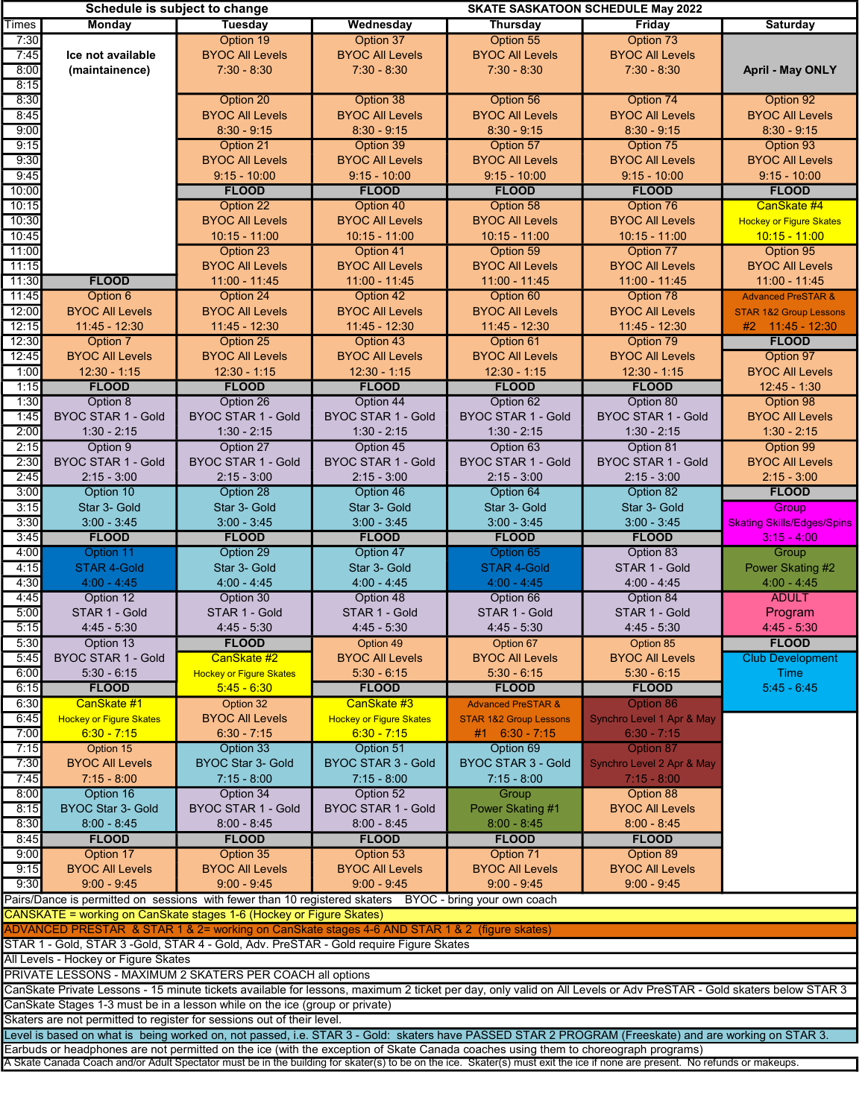|              | Schedule is subject to change        |                                                                                                        |                                |                                                                                                                                    | <b>SKATE SASKATOON SCHEDULE May 2022</b>                                                                                                                                    |                                   |
|--------------|--------------------------------------|--------------------------------------------------------------------------------------------------------|--------------------------------|------------------------------------------------------------------------------------------------------------------------------------|-----------------------------------------------------------------------------------------------------------------------------------------------------------------------------|-----------------------------------|
| <b>Times</b> | Monday                               | Tuesday                                                                                                | Wednesday                      | Thursday                                                                                                                           | Friday                                                                                                                                                                      | Saturday                          |
| 7:30         |                                      | Option 19                                                                                              | Option 37                      | Option 55                                                                                                                          | Option 73                                                                                                                                                                   |                                   |
| 7:45         | Ice not available                    | <b>BYOC All Levels</b>                                                                                 | <b>BYOC All Levels</b>         | <b>BYOC All Levels</b>                                                                                                             | <b>BYOC All Levels</b>                                                                                                                                                      |                                   |
|              |                                      |                                                                                                        |                                |                                                                                                                                    |                                                                                                                                                                             |                                   |
| 8:00         | (maintainence)                       | $7:30 - 8:30$                                                                                          | $7:30 - 8:30$                  | $7:30 - 8:30$                                                                                                                      | $7:30 - 8:30$                                                                                                                                                               | <b>April - May ONLY</b>           |
| 8:15         |                                      |                                                                                                        |                                |                                                                                                                                    |                                                                                                                                                                             |                                   |
| 8:30         |                                      | Option 20                                                                                              | Option 38                      | Option 56                                                                                                                          | Option 74                                                                                                                                                                   | Option 92                         |
| 8:45         |                                      | <b>BYOC All Levels</b>                                                                                 | <b>BYOC All Levels</b>         | <b>BYOC All Levels</b>                                                                                                             | <b>BYOC All Levels</b>                                                                                                                                                      | <b>BYOC All Levels</b>            |
|              |                                      |                                                                                                        |                                |                                                                                                                                    |                                                                                                                                                                             |                                   |
| 9:00         |                                      | $8:30 - 9:15$                                                                                          | $8:30 - 9:15$                  | $8:30 - 9:15$                                                                                                                      | $8:30 - 9:15$                                                                                                                                                               | $8:30 - 9:15$                     |
| 9:15         |                                      | Option 21                                                                                              | Option 39                      | Option 57                                                                                                                          | Option 75                                                                                                                                                                   | Option 93                         |
| 9:30         |                                      | <b>BYOC All Levels</b>                                                                                 | <b>BYOC All Levels</b>         | <b>BYOC All Levels</b>                                                                                                             | <b>BYOC All Levels</b>                                                                                                                                                      | <b>BYOC All Levels</b>            |
| 9:45         |                                      | $9:15 - 10:00$                                                                                         | $9:15 - 10:00$                 | $9:15 - 10:00$                                                                                                                     | $9:15 - 10:00$                                                                                                                                                              | $9:15 - 10:00$                    |
|              |                                      |                                                                                                        |                                |                                                                                                                                    |                                                                                                                                                                             |                                   |
| 10:00        |                                      | <b>FLOOD</b>                                                                                           | <b>FLOOD</b>                   | <b>FLOOD</b>                                                                                                                       | <b>FLOOD</b>                                                                                                                                                                | <b>FLOOD</b>                      |
| 10:15        |                                      | Option 22                                                                                              | Option 40                      | Option 58                                                                                                                          | Option 76                                                                                                                                                                   | CanSkate #4                       |
| 10:30        |                                      | <b>BYOC All Levels</b>                                                                                 | <b>BYOC All Levels</b>         | <b>BYOC All Levels</b>                                                                                                             | <b>BYOC All Levels</b>                                                                                                                                                      | <b>Hockey or Figure Skates</b>    |
| 10:45        |                                      | $10:15 - 11:00$                                                                                        | $10:15 - 11:00$                | $10:15 - 11:00$                                                                                                                    | $10:15 - 11:00$                                                                                                                                                             | $10:15 - 11:00$                   |
|              |                                      |                                                                                                        |                                |                                                                                                                                    |                                                                                                                                                                             |                                   |
| 11:00        |                                      | Option 23                                                                                              | Option 41                      | Option 59                                                                                                                          | Option 77                                                                                                                                                                   | Option 95                         |
| 11:15        |                                      | <b>BYOC All Levels</b>                                                                                 | <b>BYOC All Levels</b>         | <b>BYOC All Levels</b>                                                                                                             | <b>BYOC All Levels</b>                                                                                                                                                      | <b>BYOC All Levels</b>            |
| 11:30        | <b>FLOOD</b>                         | 11:00 - 11:45                                                                                          | $11:00 - 11:45$                | $11:00 - 11:45$                                                                                                                    | $11:00 - 11:45$                                                                                                                                                             | $11:00 - 11:45$                   |
| 11:45        | Option 6                             | Option 24                                                                                              | Option 42                      | Option 60                                                                                                                          | Option 78                                                                                                                                                                   | <b>Advanced PreSTAR &amp;</b>     |
|              |                                      |                                                                                                        |                                |                                                                                                                                    |                                                                                                                                                                             |                                   |
| 12:00        | <b>BYOC All Levels</b>               | <b>BYOC All Levels</b>                                                                                 | <b>BYOC All Levels</b>         | <b>BYOC All Levels</b>                                                                                                             | <b>BYOC All Levels</b>                                                                                                                                                      | <b>STAR 1&amp;2 Group Lessons</b> |
| 12:15        | $11:45 - 12:30$                      | $11:45 - 12:30$                                                                                        | $11:45 - 12:30$                | $11:45 - 12:30$                                                                                                                    | $11:45 - 12:30$                                                                                                                                                             | #2 11:45 - 12:30                  |
| 12:30        | Option 7                             | Option 25                                                                                              | Option 43                      | Option 61                                                                                                                          | Option 79                                                                                                                                                                   | <b>FLOOD</b>                      |
| 12:45        | <b>BYOC All Levels</b>               | <b>BYOC All Levels</b>                                                                                 | <b>BYOC All Levels</b>         | <b>BYOC All Levels</b>                                                                                                             | <b>BYOC All Levels</b>                                                                                                                                                      | Option 97                         |
|              |                                      |                                                                                                        |                                |                                                                                                                                    |                                                                                                                                                                             |                                   |
| 1:00         | $12:30 - 1:15$                       | $12:30 - 1:15$                                                                                         | $12:30 - 1:15$                 | $12:30 - 1:15$                                                                                                                     | $12:30 - 1:15$                                                                                                                                                              | <b>BYOC All Levels</b>            |
| 1:15         | <b>FLOOD</b>                         | <b>FLOOD</b>                                                                                           | <b>FLOOD</b>                   | <b>FLOOD</b>                                                                                                                       | <b>FLOOD</b>                                                                                                                                                                | $12:45 - 1:30$                    |
| 1:30         | Option 8                             | Option 26                                                                                              | Option 44                      | Option 62                                                                                                                          | Option 80                                                                                                                                                                   | Option 98                         |
| 1:45         | <b>BYOC STAR 1 - Gold</b>            | BYOC STAR 1 - Gold                                                                                     | <b>BYOC STAR 1 - Gold</b>      | BYOC STAR 1 - Gold                                                                                                                 | <b>BYOC STAR 1 - Gold</b>                                                                                                                                                   | <b>BYOC All Levels</b>            |
|              |                                      |                                                                                                        |                                |                                                                                                                                    |                                                                                                                                                                             |                                   |
| 2:00         | $1:30 - 2:15$                        | $1:30 - 2:15$                                                                                          | $1:30 - 2:15$                  | $1:30 - 2:15$                                                                                                                      | $1:30 - 2:15$                                                                                                                                                               | $1:30 - 2:15$                     |
| 2:15         | Option 9                             | Option 27                                                                                              | Option 45                      | Option 63                                                                                                                          | Option 81                                                                                                                                                                   | Option 99                         |
| 2:30         | <b>BYOC STAR 1 - Gold</b>            | <b>BYOC STAR 1 - Gold</b>                                                                              | <b>BYOC STAR 1 - Gold</b>      | <b>BYOC STAR 1 - Gold</b>                                                                                                          | <b>BYOC STAR 1 - Gold</b>                                                                                                                                                   | <b>BYOC All Levels</b>            |
| 2:45         | $2:15 - 3:00$                        | $2:15 - 3:00$                                                                                          | $2:15 - 3:00$                  | $2:15 - 3:00$                                                                                                                      | $2:15 - 3:00$                                                                                                                                                               | $2:15 - 3:00$                     |
|              |                                      |                                                                                                        |                                |                                                                                                                                    |                                                                                                                                                                             | <b>FLOOD</b>                      |
| 3:00         | Option 10                            | Option 28                                                                                              | Option 46                      | Option 64                                                                                                                          | Option 82                                                                                                                                                                   |                                   |
| 3:15         | Star 3- Gold                         | Star 3- Gold                                                                                           | Star 3- Gold                   | Star 3- Gold                                                                                                                       | Star 3- Gold                                                                                                                                                                | Group                             |
| 3:30         | $3:00 - 3:45$                        | $3:00 - 3:45$                                                                                          | $3:00 - 3:45$                  | $3:00 - 3:45$                                                                                                                      | $3:00 - 3:45$                                                                                                                                                               | <b>Skating Skills/Edges/Spins</b> |
| 3:45         | <b>FLOOD</b>                         | <b>FLOOD</b>                                                                                           | <b>FLOOD</b>                   | <b>FLOOD</b>                                                                                                                       | <b>FLOOD</b>                                                                                                                                                                | $3:15 - 4:00$                     |
| 4:00         | Option 11                            | Option 29                                                                                              | Option 47                      | Option 65                                                                                                                          | Option 83                                                                                                                                                                   |                                   |
|              |                                      |                                                                                                        |                                |                                                                                                                                    |                                                                                                                                                                             | Group                             |
| 4:15         | <b>STAR 4-Gold</b>                   | Star 3- Gold                                                                                           | Star 3- Gold                   | <b>STAR 4-Gold</b>                                                                                                                 | STAR 1 - Gold                                                                                                                                                               | Power Skating #2                  |
| 4:30         | $4:00 - 4:45$                        | $4:00 - 4:45$                                                                                          | $4:00 - 4:45$                  | $4:00 - 4:45$                                                                                                                      | $4:00 - 4:45$                                                                                                                                                               | $4:00 - 4:45$                     |
| 4:45         | Option 12                            | Option 30                                                                                              | Option 48                      | Option 66                                                                                                                          | Option 84                                                                                                                                                                   | <b>ADULT</b>                      |
| 5:00         | STAR 1 - Gold                        | STAR 1 - Gold                                                                                          | STAR 1 - Gold                  | STAR 1 - Gold                                                                                                                      | STAR 1 - Gold                                                                                                                                                               | Program                           |
|              |                                      |                                                                                                        |                                |                                                                                                                                    |                                                                                                                                                                             |                                   |
| 5:15         | $4:45 - 5:30$                        | $4:45 - 5:30$                                                                                          | $4:45 - 5:30$                  | $4:45 - 5:30$                                                                                                                      | $4:45 - 5:30$                                                                                                                                                               | $4:45 - 5:30$                     |
| 5:30         | Option 13                            | <b>FLOOD</b>                                                                                           | Option 49                      | Option 67                                                                                                                          | Option 85                                                                                                                                                                   | <b>FLOOD</b>                      |
| 5:45         | <b>BYOC STAR 1 - Gold</b>            | CanSkate #2                                                                                            | <b>BYOC All Levels</b>         | <b>BYOC All Levels</b>                                                                                                             | <b>BYOC All Levels</b>                                                                                                                                                      | <b>Club Development</b>           |
| 6:00         | $5:30 - 6:15$                        | <b>Hockey or Figure Skates</b>                                                                         | $5:30 - 6:15$                  | $5:30 - 6:15$                                                                                                                      | $5:30 - 6:15$                                                                                                                                                               | Time                              |
|              |                                      |                                                                                                        |                                |                                                                                                                                    |                                                                                                                                                                             |                                   |
| 6:15         | <b>FLOOD</b>                         | $5.45 - 6.30$                                                                                          | <b>FLOOD</b>                   | <b>FLOOD</b>                                                                                                                       | <b>FLOOD</b>                                                                                                                                                                | $5:45 - 6:45$                     |
| 6:30         | CanSkate #1                          | Option 32                                                                                              | CanSkate #3                    | <b>Advanced PreSTAR &amp;</b>                                                                                                      | Option 86                                                                                                                                                                   |                                   |
| 6:45         | <b>Hockey or Figure Skates</b>       | <b>BYOC All Levels</b>                                                                                 | <b>Hockey or Figure Skates</b> | <b>STAR 1&amp;2 Group Lessons</b>                                                                                                  | Synchro Level 1 Apr & May                                                                                                                                                   |                                   |
| 7:00         | $6:30 - 7:15$                        | $6:30 - 7:15$                                                                                          | $6:30 - 7:15$                  | $#1$ 6:30 - 7:15                                                                                                                   | $6:30 - 7:15$                                                                                                                                                               |                                   |
|              |                                      |                                                                                                        |                                |                                                                                                                                    |                                                                                                                                                                             |                                   |
| 7:15         | Option 15                            | Option 33                                                                                              | Option 51                      | Option 69                                                                                                                          | Option 87                                                                                                                                                                   |                                   |
| 7:30         | <b>BYOC All Levels</b>               | <b>BYOC Star 3- Gold</b>                                                                               | <b>BYOC STAR 3 - Gold</b>      | <b>BYOC STAR 3 - Gold</b>                                                                                                          | Synchro Level 2 Apr & May                                                                                                                                                   |                                   |
| 7:45         | $7:15 - 8:00$                        | $7:15 - 8:00$                                                                                          | $7:15 - 8:00$                  | $7:15 - 8:00$                                                                                                                      | $7:15 - 8:00$                                                                                                                                                               |                                   |
| 8:00         | Option 16                            | Option 34                                                                                              | Option 52                      | Group                                                                                                                              | Option 88                                                                                                                                                                   |                                   |
| 8:15         | <b>BYOC Star 3- Gold</b>             | <b>BYOC STAR 1 - Gold</b>                                                                              | <b>BYOC STAR 1 - Gold</b>      | Power Skating #1                                                                                                                   | <b>BYOC All Levels</b>                                                                                                                                                      |                                   |
|              |                                      |                                                                                                        |                                |                                                                                                                                    |                                                                                                                                                                             |                                   |
| 8:30         | $8:00 - 8:45$                        | $8:00 - 8:45$                                                                                          | 8:00 - 8:45                    | $8:00 - 8:45$                                                                                                                      | $8:00 - 8:45$                                                                                                                                                               |                                   |
| 8:45         | <b>FLOOD</b>                         | <b>FLOOD</b>                                                                                           | <b>FLOOD</b>                   | <b>FLOOD</b>                                                                                                                       | <b>FLOOD</b>                                                                                                                                                                |                                   |
| 9:00         | Option 17                            | Option 35                                                                                              | Option 53                      | Option 71                                                                                                                          | Option 89                                                                                                                                                                   |                                   |
| 9:15         | <b>BYOC All Levels</b>               | <b>BYOC All Levels</b>                                                                                 | <b>BYOC All Levels</b>         | <b>BYOC All Levels</b>                                                                                                             | <b>BYOC All Levels</b>                                                                                                                                                      |                                   |
|              |                                      |                                                                                                        |                                |                                                                                                                                    |                                                                                                                                                                             |                                   |
| 9:30         | $9:00 - 9:45$                        | $9:00 - 9:45$                                                                                          | $9:00 - 9:45$                  | $9:00 - 9:45$                                                                                                                      | $9:00 - 9:45$                                                                                                                                                               |                                   |
|              |                                      | Pairs/Dance is permitted on sessions with fewer than 10 registered skaters BYOC - bring your own coach |                                |                                                                                                                                    |                                                                                                                                                                             |                                   |
|              |                                      | CANSKATE = working on CanSkate stages 1-6 (Hockey or Figure Skates)                                    |                                |                                                                                                                                    |                                                                                                                                                                             |                                   |
|              |                                      | ADVANCED PRESTAR & STAR 1 & 2= working on CanSkate stages 4-6 AND STAR 1 & 2 (figure skates)           |                                |                                                                                                                                    |                                                                                                                                                                             |                                   |
|              |                                      | STAR 1 - Gold, STAR 3 - Gold, STAR 4 - Gold, Adv. PreSTAR - Gold require Figure Skates                 |                                |                                                                                                                                    |                                                                                                                                                                             |                                   |
|              |                                      |                                                                                                        |                                |                                                                                                                                    |                                                                                                                                                                             |                                   |
|              | All Levels - Hockey or Figure Skates |                                                                                                        |                                |                                                                                                                                    |                                                                                                                                                                             |                                   |
|              |                                      | PRIVATE LESSONS - MAXIMUM 2 SKATERS PER COACH all options                                              |                                |                                                                                                                                    |                                                                                                                                                                             |                                   |
|              |                                      |                                                                                                        |                                |                                                                                                                                    | CanSkate Private Lessons - 15 minute tickets available for lessons, maximum 2 ticket per day, only valid on All Levels or Adv PreSTAR - Gold skaters below STAR 3           |                                   |
|              |                                      | CanSkate Stages 1-3 must be in a lesson while on the ice (group or private)                            |                                |                                                                                                                                    |                                                                                                                                                                             |                                   |
|              |                                      |                                                                                                        |                                |                                                                                                                                    |                                                                                                                                                                             |                                   |
|              |                                      | Skaters are not permitted to register for sessions out of their level.                                 |                                |                                                                                                                                    |                                                                                                                                                                             |                                   |
|              |                                      |                                                                                                        |                                |                                                                                                                                    | Level is based on what is being worked on, not passed, i.e. STAR 3 - Gold: skaters have PASSED STAR 2 PROGRAM (Freeskate) and are working on STAR 3.                        |                                   |
|              |                                      |                                                                                                        |                                | Earbuds or headphones are not permitted on the ice (with the exception of Skate Canada coaches using them to choreograph programs) |                                                                                                                                                                             |                                   |
|              |                                      |                                                                                                        |                                |                                                                                                                                    | A Skate Canada Coach and/or Adult Spectator must be in the building for skater(s) to be on the ice. Skater(s) must exit the ice if none are present. No refunds or makeups. |                                   |
|              |                                      |                                                                                                        |                                |                                                                                                                                    |                                                                                                                                                                             |                                   |
|              |                                      |                                                                                                        |                                |                                                                                                                                    |                                                                                                                                                                             |                                   |